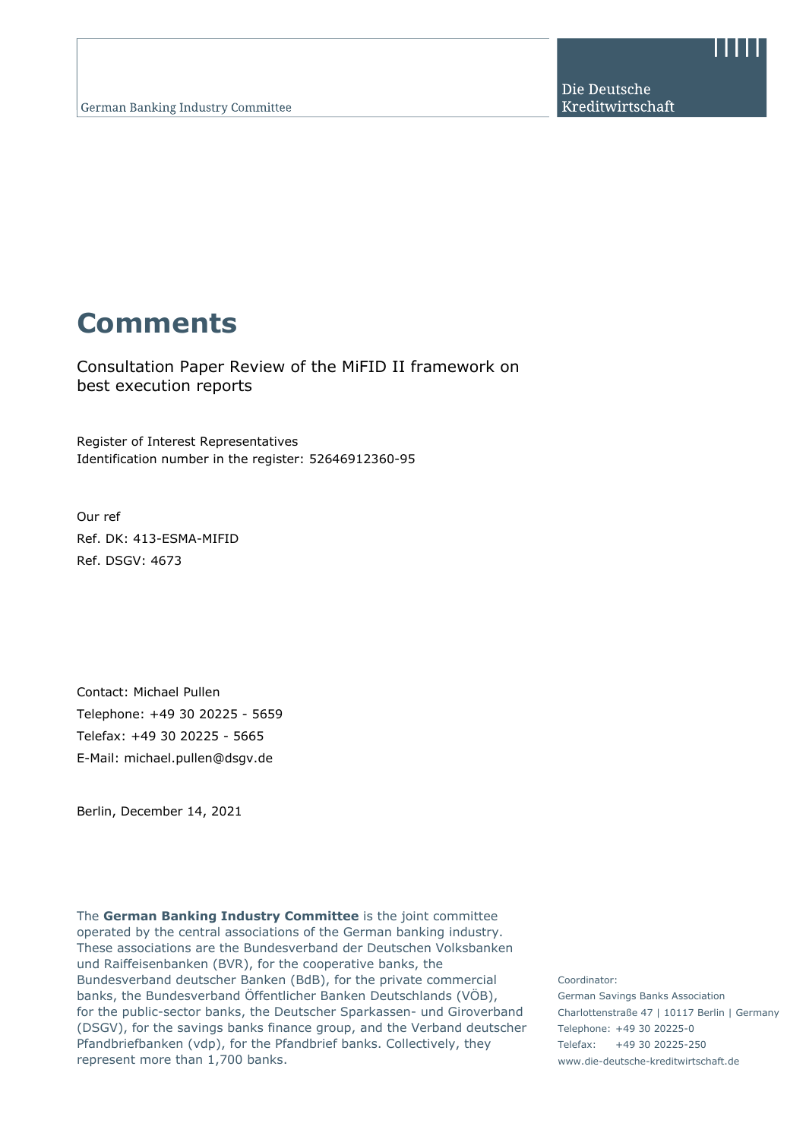Die Deutsche Kreditwirtschaft

# **Comments**

Consultation Paper Review of the MiFID II framework on best execution reports

Register of Interest Representatives Identification number in the register: 52646912360-95

Our ref Ref. DK: 413-ESMA-MIFID Ref. DSGV: 4673

Contact: Michael Pullen Telephone: +49 30 20225 - 5659 Telefax: +49 30 20225 - 5665 E-Mail: michael.pullen@dsgv.de

Berlin, December 14, 2021

The **German Banking Industry Committee** is the joint committee operated by the central associations of the German banking industry. These associations are the Bundesverband der Deutschen Volksbanken und Raiffeisenbanken (BVR), for the cooperative banks, the Bundesverband deutscher Banken (BdB), for the private commercial banks, the Bundesverband Öffentlicher Banken Deutschlands (VÖB), for the public-sector banks, the Deutscher Sparkassen- und Giroverband (DSGV), for the savings banks finance group, and the Verband deutscher Pfandbriefbanken (vdp), for the Pfandbrief banks. Collectively, they represent more than 1,700 banks.

Coordinator: German Savings Banks Association Charlottenstraße 47 | 10117 Berlin | Germany Telephone: +49 30 20225-0 Telefax: +49 30 20225-250 www.die-deutsche-kreditwirtschaft.de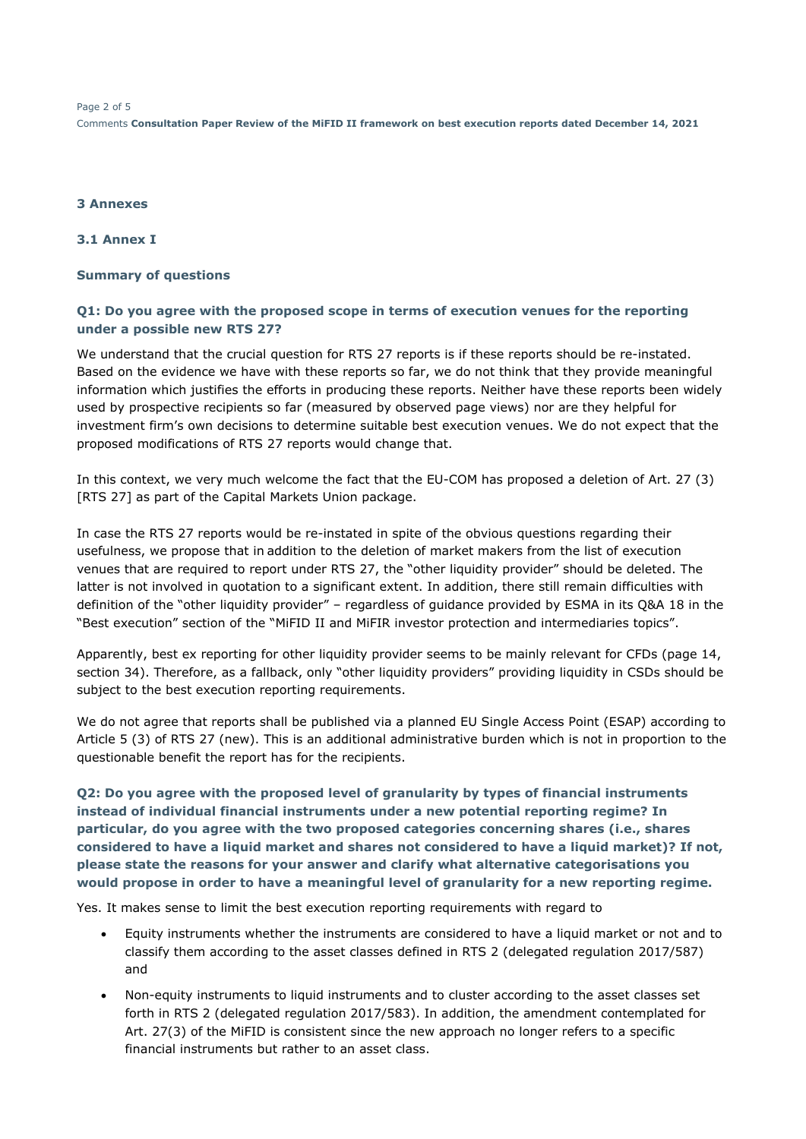Page 2 of 5 Comments **Consultation Paper Review of the MiFID II framework on best execution reports dated December 14, 2021** 

#### **3 Annexes**

**3.1 Annex I** 

#### **Summary of questions**

#### **Q1: Do you agree with the proposed scope in terms of execution venues for the reporting under a possible new RTS 27?**

We understand that the crucial question for RTS 27 reports is if these reports should be re-instated. Based on the evidence we have with these reports so far, we do not think that they provide meaningful information which justifies the efforts in producing these reports. Neither have these reports been widely used by prospective recipients so far (measured by observed page views) nor are they helpful for investment firm's own decisions to determine suitable best execution venues. We do not expect that the proposed modifications of RTS 27 reports would change that.

In this context, we very much welcome the fact that the EU-COM has proposed a deletion of Art. 27 (3) [RTS 27] as part of the Capital Markets Union package.

In case the RTS 27 reports would be re-instated in spite of the obvious questions regarding their usefulness, we propose that in addition to the deletion of market makers from the list of execution venues that are required to report under RTS 27, the "other liquidity provider" should be deleted. The latter is not involved in quotation to a significant extent. In addition, there still remain difficulties with definition of the "other liquidity provider" – regardless of guidance provided by ESMA in its Q&A 18 in the "Best execution" section of the "MiFID II and MiFIR investor protection and intermediaries topics".

Apparently, best ex reporting for other liquidity provider seems to be mainly relevant for CFDs (page 14, section 34). Therefore, as a fallback, only "other liquidity providers" providing liquidity in CSDs should be subject to the best execution reporting requirements.

We do not agree that reports shall be published via a planned EU Single Access Point (ESAP) according to Article 5 (3) of RTS 27 (new). This is an additional administrative burden which is not in proportion to the questionable benefit the report has for the recipients.

**Q2: Do you agree with the proposed level of granularity by types of financial instruments instead of individual financial instruments under a new potential reporting regime? In particular, do you agree with the two proposed categories concerning shares (i.e., shares considered to have a liquid market and shares not considered to have a liquid market)? If not, please state the reasons for your answer and clarify what alternative categorisations you would propose in order to have a meaningful level of granularity for a new reporting regime.** 

Yes. It makes sense to limit the best execution reporting requirements with regard to

- Equity instruments whether the instruments are considered to have a liquid market or not and to classify them according to the asset classes defined in RTS 2 (delegated regulation 2017/587) and
- Non-equity instruments to liquid instruments and to cluster according to the asset classes set forth in RTS 2 (delegated regulation 2017/583). In addition, the amendment contemplated for Art. 27(3) of the MiFID is consistent since the new approach no longer refers to a specific financial instruments but rather to an asset class.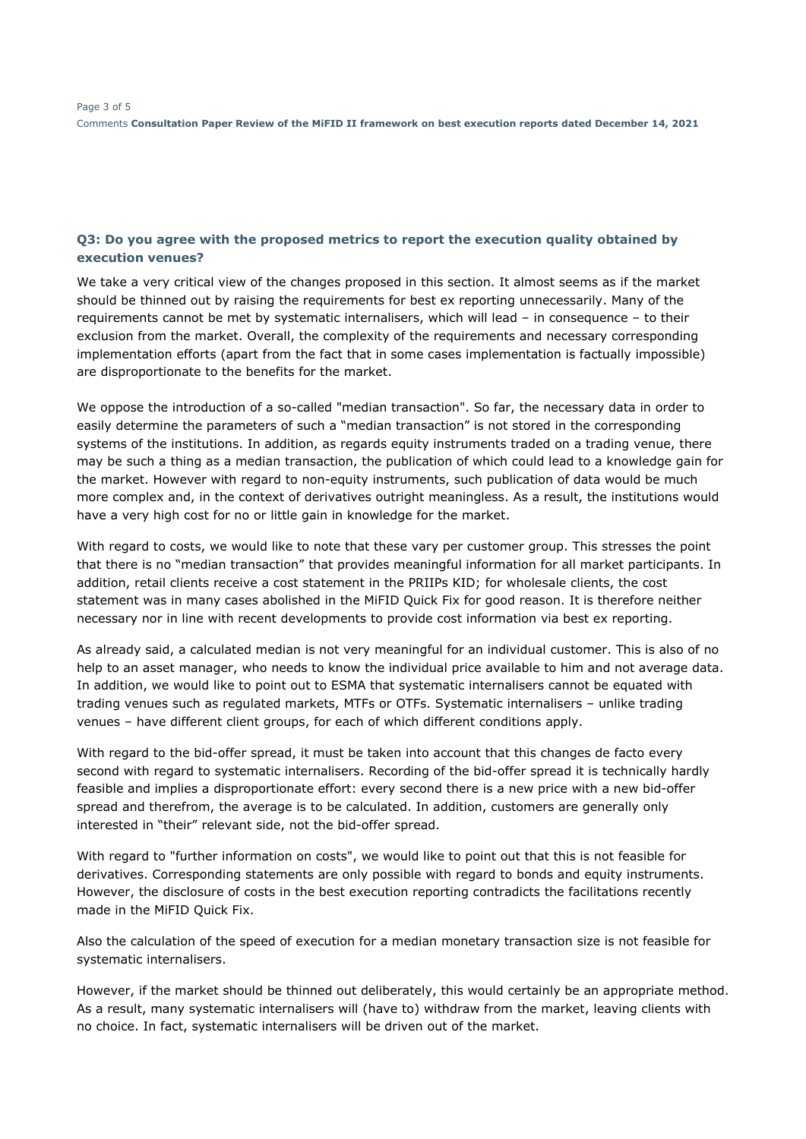#### **Q3: Do you agree with the proposed metrics to report the execution quality obtained by execution venues?**

We take a very critical view of the changes proposed in this section. It almost seems as if the market should be thinned out by raising the requirements for best ex reporting unnecessarily. Many of the requirements cannot be met by systematic internalisers, which will lead – in consequence – to their exclusion from the market. Overall, the complexity of the requirements and necessary corresponding implementation efforts (apart from the fact that in some cases implementation is factually impossible) are disproportionate to the benefits for the market.

We oppose the introduction of a so-called "median transaction". So far, the necessary data in order to easily determine the parameters of such a "median transaction" is not stored in the corresponding systems of the institutions. In addition, as regards equity instruments traded on a trading venue, there may be such a thing as a median transaction, the publication of which could lead to a knowledge gain for the market. However with regard to non-equity instruments, such publication of data would be much more complex and, in the context of derivatives outright meaningless. As a result, the institutions would have a very high cost for no or little gain in knowledge for the market.

With regard to costs, we would like to note that these vary per customer group. This stresses the point that there is no "median transaction" that provides meaningful information for all market participants. In addition, retail clients receive a cost statement in the PRIIPs KID; for wholesale clients, the cost statement was in many cases abolished in the MiFID Quick Fix for good reason. It is therefore neither necessary nor in line with recent developments to provide cost information via best ex reporting.

As already said, a calculated median is not very meaningful for an individual customer. This is also of no help to an asset manager, who needs to know the individual price available to him and not average data. In addition, we would like to point out to ESMA that systematic internalisers cannot be equated with trading venues such as regulated markets, MTFs or OTFs. Systematic internalisers – unlike trading venues – have different client groups, for each of which different conditions apply.

With regard to the bid-offer spread, it must be taken into account that this changes de facto every second with regard to systematic internalisers. Recording of the bid-offer spread it is technically hardly feasible and implies a disproportionate effort: every second there is a new price with a new bid-offer spread and therefrom, the average is to be calculated. In addition, customers are generally only interested in "their" relevant side, not the bid-offer spread.

With regard to "further information on costs", we would like to point out that this is not feasible for derivatives. Corresponding statements are only possible with regard to bonds and equity instruments. However, the disclosure of costs in the best execution reporting contradicts the facilitations recently made in the MiFID Quick Fix.

Also the calculation of the speed of execution for a median monetary transaction size is not feasible for systematic internalisers.

However, if the market should be thinned out deliberately, this would certainly be an appropriate method. As a result, many systematic internalisers will (have to) withdraw from the market, leaving clients with no choice. In fact, systematic internalisers will be driven out of the market.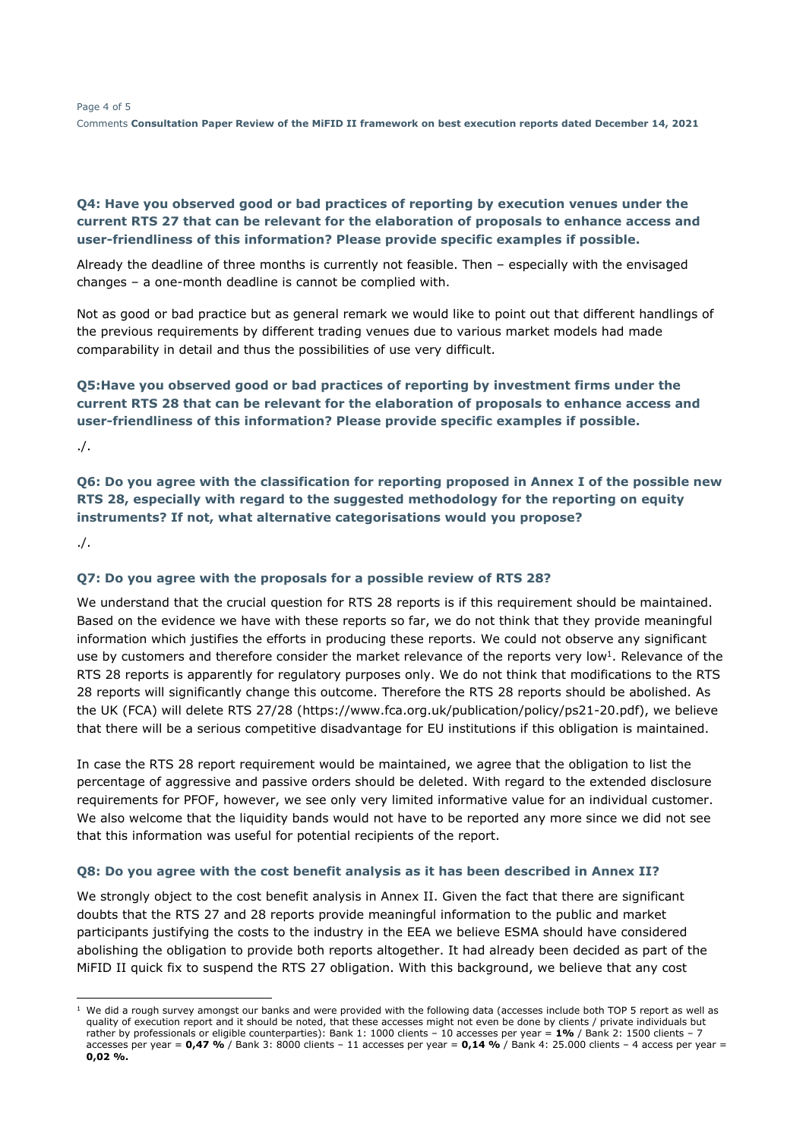## **Q4: Have you observed good or bad practices of reporting by execution venues under the current RTS 27 that can be relevant for the elaboration of proposals to enhance access and user-friendliness of this information? Please provide specific examples if possible.**

Already the deadline of three months is currently not feasible. Then – especially with the envisaged changes – a one-month deadline is cannot be complied with.

Not as good or bad practice but as general remark we would like to point out that different handlings of the previous requirements by different trading venues due to various market models had made comparability in detail and thus the possibilities of use very difficult.

## **Q5:Have you observed good or bad practices of reporting by investment firms under the current RTS 28 that can be relevant for the elaboration of proposals to enhance access and user-friendliness of this information? Please provide specific examples if possible.**

./.

**Q6: Do you agree with the classification for reporting proposed in Annex I of the possible new RTS 28, especially with regard to the suggested methodology for the reporting on equity instruments? If not, what alternative categorisations would you propose?** 

./.

ł

### **Q7: Do you agree with the proposals for a possible review of RTS 28?**

We understand that the crucial question for RTS 28 reports is if this requirement should be maintained. Based on the evidence we have with these reports so far, we do not think that they provide meaningful information which justifies the efforts in producing these reports. We could not observe any significant use by customers and therefore consider the market relevance of the reports very low<sup>1</sup>. Relevance of the RTS 28 reports is apparently for regulatory purposes only. We do not think that modifications to the RTS 28 reports will significantly change this outcome. Therefore the RTS 28 reports should be abolished. As the UK (FCA) will delete RTS 27/28 (https://www.fca.org.uk/publication/policy/ps21-20.pdf), we believe that there will be a serious competitive disadvantage for EU institutions if this obligation is maintained.

In case the RTS 28 report requirement would be maintained, we agree that the obligation to list the percentage of aggressive and passive orders should be deleted. With regard to the extended disclosure requirements for PFOF, however, we see only very limited informative value for an individual customer. We also welcome that the liquidity bands would not have to be reported any more since we did not see that this information was useful for potential recipients of the report.

### **Q8: Do you agree with the cost benefit analysis as it has been described in Annex II?**

We strongly object to the cost benefit analysis in Annex II. Given the fact that there are significant doubts that the RTS 27 and 28 reports provide meaningful information to the public and market participants justifying the costs to the industry in the EEA we believe ESMA should have considered abolishing the obligation to provide both reports altogether. It had already been decided as part of the MiFID II quick fix to suspend the RTS 27 obligation. With this background, we believe that any cost

 $1$  We did a rough survey amongst our banks and were provided with the following data (accesses include both TOP 5 report as well as quality of execution report and it should be noted, that these accesses might not even be done by clients / private individuals but rather by professionals or eligible counterparties): Bank 1: 1000 clients – 10 accesses per year = **1%** / Bank 2: 1500 clients – 7 accesses per year = **0,47 %** / Bank 3: 8000 clients – 11 accesses per year = **0,14 %** / Bank 4: 25.000 clients – 4 access per year = **0,02 %.**